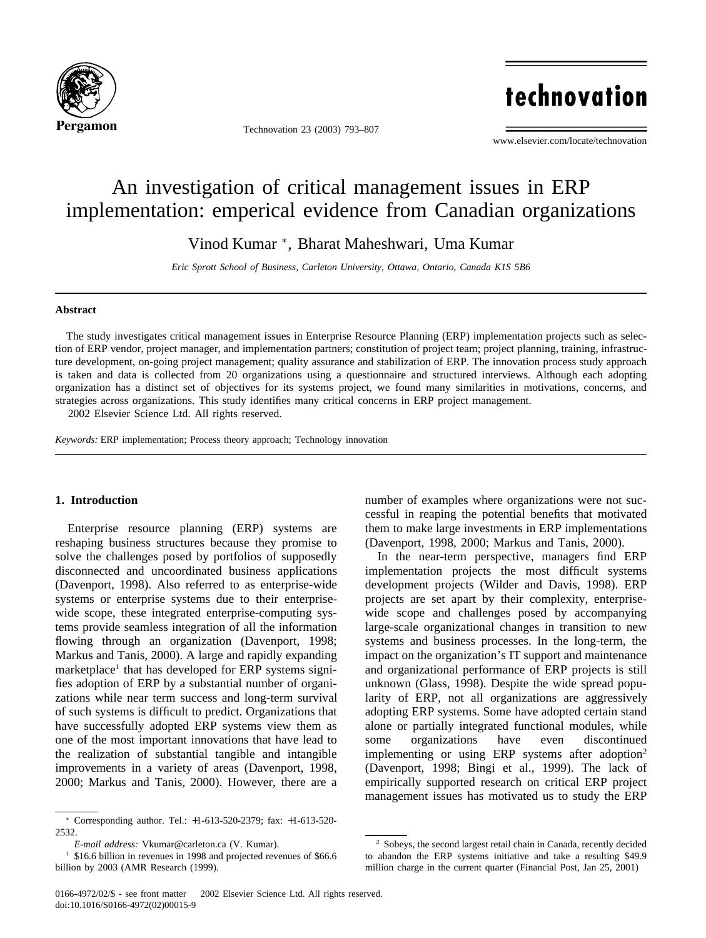

Technovation 23 (2003) 793–807

technovation

www.elsevier.com/locate/technovation

# An investigation of critical management issues in ERP implementation: emperical evidence from Canadian organizations

Vinod Kumar <sup>∗</sup>, Bharat Maheshwari, Uma Kumar

*Eric Sprott School of Business, Carleton University, Ottawa, Ontario, Canada K1S 5B6*

### **Abstract**

The study investigates critical management issues in Enterprise Resource Planning (ERP) implementation projects such as selection of ERP vendor, project manager, and implementation partners; constitution of project team; project planning, training, infrastructure development, on-going project management; quality assurance and stabilization of ERP. The innovation process study approach is taken and data is collected from 20 organizations using a questionnaire and structured interviews. Although each adopting organization has a distinct set of objectives for its systems project, we found many similarities in motivations, concerns, and strategies across organizations. This study identifies many critical concerns in ERP project management. 2002 Elsevier Science Ltd. All rights reserved.

*Keywords:* ERP implementation; Process theory approach; Technology innovation

### **1. Introduction**

Enterprise resource planning (ERP) systems are reshaping business structures because they promise to solve the challenges posed by portfolios of supposedly disconnected and uncoordinated business applications (Davenport, 1998). Also referred to as enterprise-wide systems or enterprise systems due to their enterprisewide scope, these integrated enterprise-computing systems provide seamless integration of all the information flowing through an organization (Davenport, 1998; Markus and Tanis, 2000). A large and rapidly expanding  $marketplace<sup>1</sup> that has developed for ERP systems signi$ fies adoption of ERP by a substantial number of organizations while near term success and long-term survival of such systems is difficult to predict. Organizations that have successfully adopted ERP systems view them as one of the most important innovations that have lead to the realization of substantial tangible and intangible improvements in a variety of areas (Davenport, 1998, 2000; Markus and Tanis, 2000). However, there are a number of examples where organizations were not successful in reaping the potential benefits that motivated them to make large investments in ERP implementations (Davenport, 1998, 2000; Markus and Tanis, 2000).

In the near-term perspective, managers find ERP implementation projects the most difficult systems development projects (Wilder and Davis, 1998). ERP projects are set apart by their complexity, enterprisewide scope and challenges posed by accompanying large-scale organizational changes in transition to new systems and business processes. In the long-term, the impact on the organization's IT support and maintenance and organizational performance of ERP projects is still unknown (Glass, 1998). Despite the wide spread popularity of ERP, not all organizations are aggressively adopting ERP systems. Some have adopted certain stand alone or partially integrated functional modules, while some organizations have even discontinued implementing or using ERP systems after adoption<sup>2</sup> (Davenport, 1998; Bingi et al., 1999). The lack of empirically supported research on critical ERP project management issues has motivated us to study the ERP

<sup>∗</sup> Corresponding author. Tel.: +1-613-520-2379; fax: +1-613-520- 2532.

*E-mail address:* Vkumar@carleton.ca (V. Kumar).

<sup>1</sup> \$16.6 billion in revenues in 1998 and projected revenues of \$66.6 billion by 2003 (AMR Research (1999).

<sup>2</sup> Sobeys, the second largest retail chain in Canada, recently decided to abandon the ERP systems initiative and take a resulting \$49.9 million charge in the current quarter (Financial Post, Jan 25, 2001)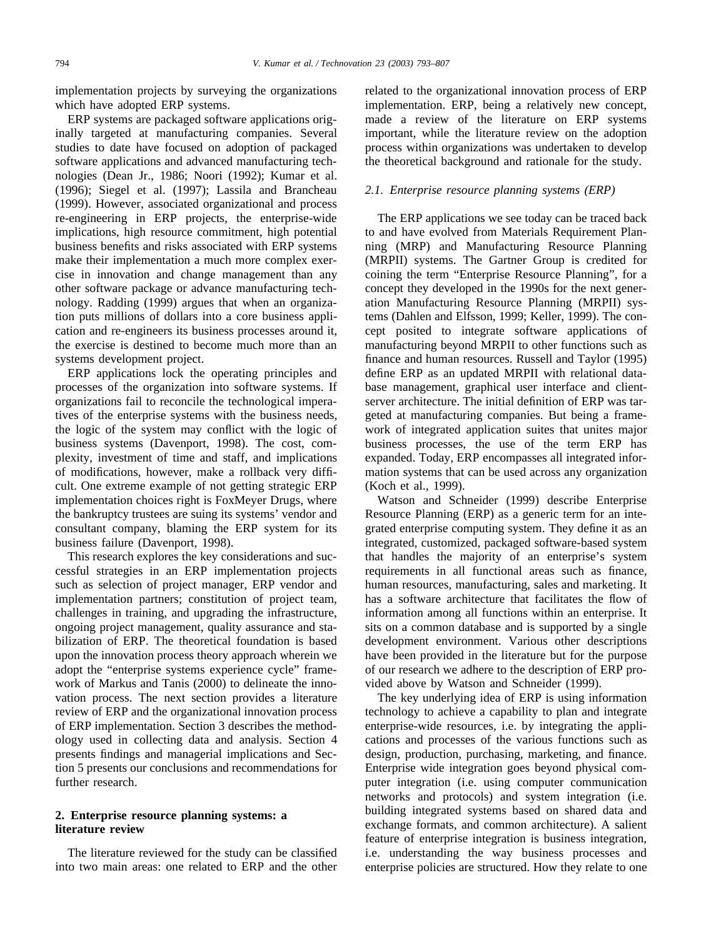implementation projects by surveying the organizations which have adopted ERP systems.

ERP systems are packaged software applications originally targeted at manufacturing companies. Several studies to date have focused on adoption of packaged software applications and advanced manufacturing technologies (Dean Jr., 1986; Noori (1992); Kumar et al. (1996); Siegel et al. (1997); Lassila and Brancheau (1999). However, associated organizational and process re-engineering in ERP projects, the enterprise-wide implications, high resource commitment, high potential business benefits and risks associated with ERP systems make their implementation a much more complex exercise in innovation and change management than any other software package or advance manufacturing technology. Radding (1999) argues that when an organization puts millions of dollars into a core business application and re-engineers its business processes around it, the exercise is destined to become much more than an systems development project.

ERP applications lock the operating principles and processes of the organization into software systems. If organizations fail to reconcile the technological imperatives of the enterprise systems with the business needs, the logic of the system may conflict with the logic of business systems (Davenport, 1998). The cost, complexity, investment of time and staff, and implications of modifications, however, make a rollback very difficult. One extreme example of not getting strategic ERP implementation choices right is FoxMeyer Drugs, where the bankruptcy trustees are suing its systems' vendor and consultant company, blaming the ERP system for its business failure (Davenport, 1998).

This research explores the key considerations and successful strategies in an ERP implementation projects such as selection of project manager, ERP vendor and implementation partners; constitution of project team, challenges in training, and upgrading the infrastructure, ongoing project management, quality assurance and stabilization of ERP. The theoretical foundation is based upon the innovation process theory approach wherein we adopt the "enterprise systems experience cycle" framework of Markus and Tanis (2000) to delineate the innovation process. The next section provides a literature review of ERP and the organizational innovation process of ERP implementation. Section 3 describes the methodology used in collecting data and analysis. Section 4 presents findings and managerial implications and Section 5 presents our conclusions and recommendations for further research.

## **2. Enterprise resource planning systems: a literature review**

The literature reviewed for the study can be classified into two main areas: one related to ERP and the other related to the organizational innovation process of ERP implementation. ERP, being a relatively new concept, made a review of the literature on ERP systems important, while the literature review on the adoption process within organizations was undertaken to develop the theoretical background and rationale for the study.

### *2.1. Enterprise resource planning systems (ERP)*

The ERP applications we see today can be traced back to and have evolved from Materials Requirement Planning (MRP) and Manufacturing Resource Planning (MRPII) systems. The Gartner Group is credited for coining the term "Enterprise Resource Planning", for a concept they developed in the 1990s for the next generation Manufacturing Resource Planning (MRPII) systems (Dahlen and Elfsson, 1999; Keller, 1999). The concept posited to integrate software applications of manufacturing beyond MRPII to other functions such as finance and human resources. Russell and Taylor (1995) define ERP as an updated MRPII with relational database management, graphical user interface and clientserver architecture. The initial definition of ERP was targeted at manufacturing companies. But being a framework of integrated application suites that unites major business processes, the use of the term ERP has expanded. Today, ERP encompasses all integrated information systems that can be used across any organization (Koch et al., 1999).

Watson and Schneider (1999) describe Enterprise Resource Planning (ERP) as a generic term for an integrated enterprise computing system. They define it as an integrated, customized, packaged software-based system that handles the majority of an enterprise's system requirements in all functional areas such as finance, human resources, manufacturing, sales and marketing. It has a software architecture that facilitates the flow of information among all functions within an enterprise. It sits on a common database and is supported by a single development environment. Various other descriptions have been provided in the literature but for the purpose of our research we adhere to the description of ERP provided above by Watson and Schneider (1999).

The key underlying idea of ERP is using information technology to achieve a capability to plan and integrate enterprise-wide resources, i.e. by integrating the applications and processes of the various functions such as design, production, purchasing, marketing, and finance. Enterprise wide integration goes beyond physical computer integration (i.e. using computer communication networks and protocols) and system integration (i.e. building integrated systems based on shared data and exchange formats, and common architecture). A salient feature of enterprise integration is business integration, i.e. understanding the way business processes and enterprise policies are structured. How they relate to one